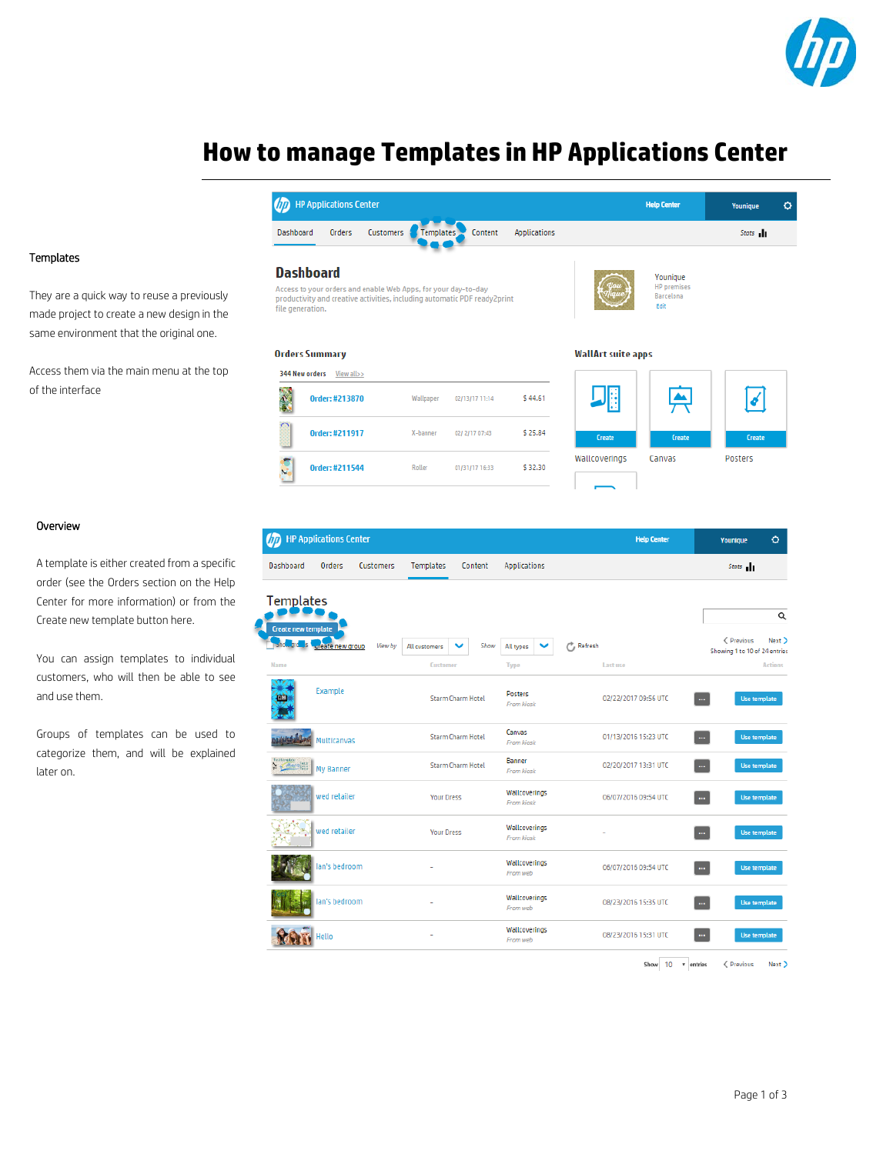

 $\circ$ 

# **How to manage Templates in HP Applications Center**

### Templates

They are a quick way to reuse a previously made project to create a new design in the same environment that the original one.

Access them via the main menu at the top of the interface

#### Overview

A template is either created from a specific order (see the Orders section on the Help Center for more information) or from the Create new template button here.

You can assign templates to individual customers, who will then be able to see and use them.

Groups of templates can be used to categorize them, and will be explained later on.

|                                      | <b>D</b> HP Applications Center                                |                  |                  |                                                                           |                                     |                           | <b>Help Center</b>                                  | Younique                                    | ₹              |
|--------------------------------------|----------------------------------------------------------------|------------------|------------------|---------------------------------------------------------------------------|-------------------------------------|---------------------------|-----------------------------------------------------|---------------------------------------------|----------------|
| Dashboard                            | Orders                                                         | Customers        | <b>Templates</b> | Content                                                                   | <b>Applications</b>                 |                           |                                                     | Stats                                       |                |
| <b>Dashboard</b><br>file generation. | Access to your orders and enable Web Apps, for your day-to-day |                  |                  | productivity and creative activities, including automatic PDF ready2print |                                     |                           | Younique<br><b>HP</b> premises<br>Barcelona<br>Edit |                                             |                |
| <b>Orders Summary</b>                |                                                                |                  |                  |                                                                           |                                     | <b>WallArt suite apps</b> |                                                     |                                             |                |
| 344 New orders                       | View all>>                                                     |                  |                  |                                                                           |                                     |                           |                                                     |                                             |                |
|                                      | Order: #213870                                                 |                  | Wallpaper        | 02/13/17 11:14                                                            | \$44.61                             |                           |                                                     |                                             |                |
|                                      | Order: #211917                                                 |                  | X-banner         | 02/2/17 07:43                                                             | \$25.84                             | Create                    | Create                                              | Create                                      |                |
|                                      | <b>Order: #211544</b>                                          |                  | Roller           | 01/31/17 16:33                                                            | \$32.30                             | Wallcoverings             | Canvas                                              | Posters                                     |                |
| (hp                                  | <b>HP Applications Center</b>                                  |                  |                  |                                                                           |                                     |                           | <b>Help Center</b>                                  | Younique                                    | ۰              |
| Dashboard                            | Orders                                                         | <b>Customers</b> | <b>Templates</b> | Content                                                                   | <b>Applications</b>                 |                           |                                                     | Stats 1                                     |                |
| <b>Templates</b>                     |                                                                |                  |                  |                                                                           |                                     |                           |                                                     |                                             |                |
| <b>Create new template</b>           |                                                                |                  |                  |                                                                           |                                     |                           |                                                     |                                             | Q              |
|                                      | reate new group                                                | View by          | All customers    | Show                                                                      | All types                           | <sup>P</sup> , Refresh    |                                                     | < Previous<br>Showing 1 to 10 of 24 entries | Next >         |
| <b>Name</b>                          |                                                                |                  | <b>Customer</b>  |                                                                           | <b>Type</b>                         | Last use                  |                                                     |                                             | <b>Actions</b> |
|                                      | Example                                                        |                  |                  | <b>Starm Charm Hotel</b>                                                  | <b>Posters</b><br><b>From kiosk</b> | 02/22/2017 09:56 UTC      | m.                                                  | Use template                                |                |
| <b>WASHING</b> Multicanvas           |                                                                |                  |                  | <b>Starm Charm Hotel</b>                                                  | Canvas<br><b>From kiosk</b>         | 01/13/2016 15:23 UTC      | 44                                                  | Use template                                |                |

 $\vert$  xt  $\vert$ tries nc J ŗ, Banner Y Gesial My Banner Starm Charm Hotel 02/20/2017 13:31 UTC  $\overline{\phantom{a}}$ Use template From kiosk Wallcoverings ved retailer **Your Dress** 06/07/2016 09:54 UTC  $\sim$ Use template From kiosk Wallcoverings wed retailer **Your Dress**  $\mathbf{m}$ Use template From kiosk Wallcoverings an's bedroom 06/07/2016 09:54 UTC ÷,  $\ldots$ From web Wallcoverings an's bedroom i, 08/23/2016 15:35 UTC  $\sim$ Use template From web Wallcoverings l, 08/23/2016 15:31 UTC  $\overline{\phantom{a}}$ RAT Use template lello From web

Show  $10 - r$  entries <Previous Next>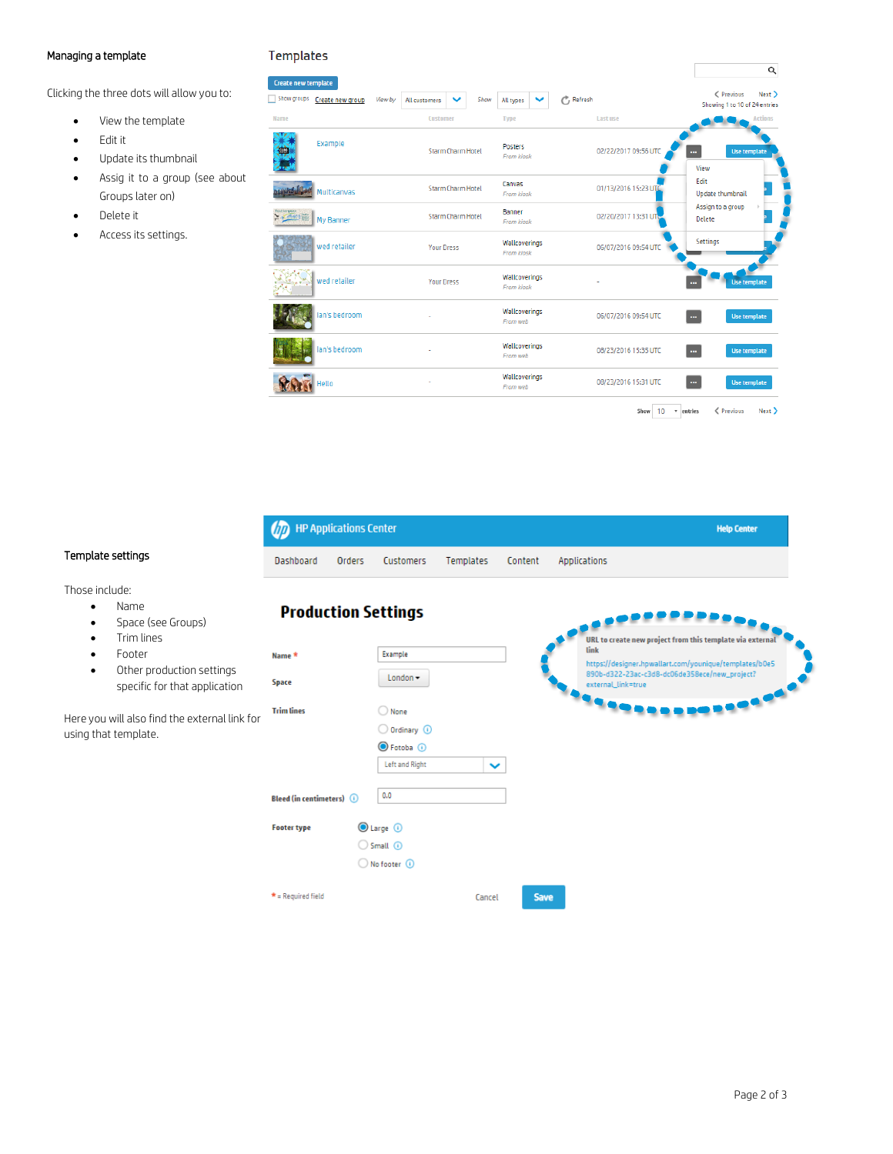## Managing a template

## **Templates**

**Production Settings** 

Clicking the three dots will allow you to:

- View the template
- Edit it
- Update its thumbnail
- Assig it to a group (see about Groups later on)
- Delete it
- Access its settings.

| . <del>.</del><br>Create new template |         |                   |                          |      |                                    |                         | Q                                                     |
|---------------------------------------|---------|-------------------|--------------------------|------|------------------------------------|-------------------------|-------------------------------------------------------|
| Show groups Create new group          | View by | All customers     | $\checkmark$             | Show | All types                          | $\mathcal{C}$ , Refresh | ← Previous<br>Next ><br>Showing 1 to 10 of 24 entries |
| Name                                  |         | Customer          |                          |      | <b>Type</b>                        | Last use                | <b>Actions</b>                                        |
| Example                               |         |                   | <b>Starm Charm Hotel</b> |      | Posters<br><b>From kiosk</b>       | 02/22/2017 09:56 UTC    | Use template<br>View                                  |
| Multicanvas                           |         |                   | Starm Charm Hotel        |      | Canvas<br><b>From kiosk</b>        | 01/13/2016 15:23 UTC    | Edit<br>Update thumbnail                              |
| と <del>、全部</del> 端   My Banner        |         |                   | Starm Charm Hotel        |      | Banner<br><b>From kiosk</b>        | 02/20/2017 13:31 UTC    | Assign to a group<br>×<br><b>Delete</b>               |
| wed retailer                          |         | <b>Your Dress</b> |                          |      | Wallcoverings<br><b>From kiosk</b> | 06/07/2016 09:54 UTC    | Settings                                              |
| wed retailer                          |         | <b>Your Dress</b> |                          |      | Wallcoverings<br><b>From kiosk</b> |                         | <b>Use template</b>                                   |
| lan's bedroom                         |         |                   |                          |      | Wallcoverings<br>From web          | 06/07/2016 09:54 UTC    | Use template<br>$\ddotsc$                             |
| lan's bedroom                         |         |                   |                          |      | Wallcoverings<br>From web          | 08/23/2016 15:35 UTC    | Use template<br>$\mathbf{u}$                          |
| <b>Jello</b>                          |         |                   |                          |      | Wallcoverings<br>From web          | 08/23/2016 15:31 UTC    | Use template<br>$\mathbf{m}$                          |
|                                       |         |                   |                          |      |                                    | Show<br>10              | < Previous<br>Next<br>* entries                       |

| <b>OD</b> HP Applications Center |        |           |  |                                | <b>Help Center</b> |
|----------------------------------|--------|-----------|--|--------------------------------|--------------------|
| Dashboard                        | Orders | Customers |  | Templates Content Applications |                    |

# Template settings

Those include:

- Name
- Space (see Groups)
- Trim lines • Footer
- Other production settings specific for that application

Here you will also find the external link using that template.

|       | <b>Production Settings</b>            |                                                                                    |              |             |                                                                                                                                                                                                    |
|-------|---------------------------------------|------------------------------------------------------------------------------------|--------------|-------------|----------------------------------------------------------------------------------------------------------------------------------------------------------------------------------------------------|
|       | Name *<br>Space                       | Example<br>$London -$                                                              |              |             | URL to create new project from this template via external<br>link<br>https://designer.hpwallart.com/younique/templates/b0e5<br>890b-d322-23ac-c3d8-dc06de358ece/new_project?<br>external_link=true |
| < for | <b>Trim lines</b>                     | O None<br>$\bigcirc$ Ordinary $\bigcirc$<br>◯ Fotoba ①                             |              |             | <b>TERRES</b><br><b>ART</b>                                                                                                                                                                        |
|       | <b>Bleed (in centimeters)</b> $\odot$ | Left and Right<br>0.0                                                              | $\checkmark$ |             |                                                                                                                                                                                                    |
|       | <b>Footer type</b>                    | $\bigcirc$ Large $\bigcirc$<br>$\bigcirc$ Small $\bigcirc$<br>◯ No footer <b>①</b> |              |             |                                                                                                                                                                                                    |
|       | $*$ = Required field                  |                                                                                    | Cancel       | <b>Save</b> |                                                                                                                                                                                                    |

#### Page 2 of 3